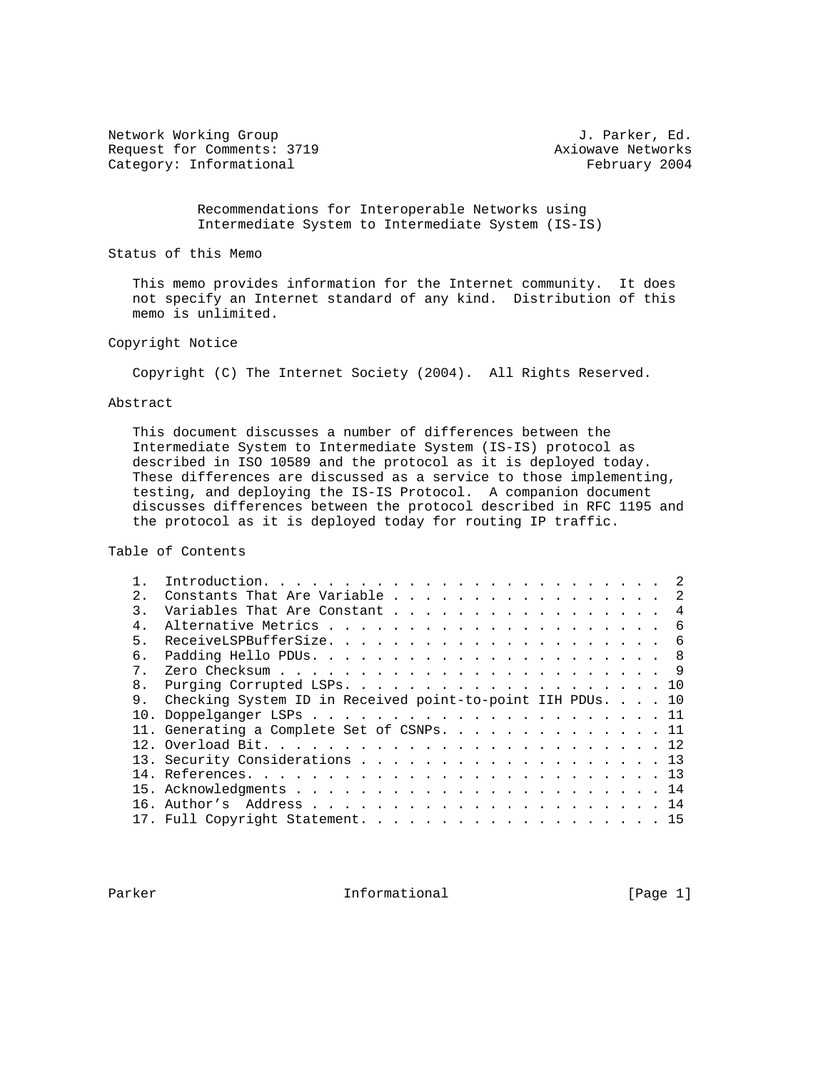Network Working Group and the set of the set of the set of the set of the set of the set of the set of the set of the set of the set of the set of the set of the set of the set of the set of the set of the set of the set o Request for Comments: 3719 Axiowave Networks Category: Informational example of the set of the February 2004

 Recommendations for Interoperable Networks using Intermediate System to Intermediate System (IS-IS)

Status of this Memo

 This memo provides information for the Internet community. It does not specify an Internet standard of any kind. Distribution of this memo is unlimited.

Copyright Notice

Copyright (C) The Internet Society (2004). All Rights Reserved.

#### Abstract

 This document discusses a number of differences between the Intermediate System to Intermediate System (IS-IS) protocol as described in ISO 10589 and the protocol as it is deployed today. These differences are discussed as a service to those implementing, testing, and deploying the IS-IS Protocol. A companion document discusses differences between the protocol described in RFC 1195 and the protocol as it is deployed today for routing IP traffic.

Table of Contents

| 2.1            | Constants That Are Variable 2                              |  |
|----------------|------------------------------------------------------------|--|
| $\mathcal{L}$  | Variables That Are Constant 4                              |  |
| $4$ .          |                                                            |  |
| 5.             |                                                            |  |
| б.             |                                                            |  |
| 7 <sub>1</sub> |                                                            |  |
| 8 <sub>1</sub> |                                                            |  |
|                | Checking System ID in Received point-to-point IIH PDUs. 10 |  |
|                |                                                            |  |
|                | 11. Generating a Complete Set of CSNPs. 11                 |  |
|                |                                                            |  |
|                | 13. Security Considerations 13                             |  |
|                |                                                            |  |
|                |                                                            |  |
|                |                                                            |  |
|                |                                                            |  |

Parker **Informational Informational** [Page 1]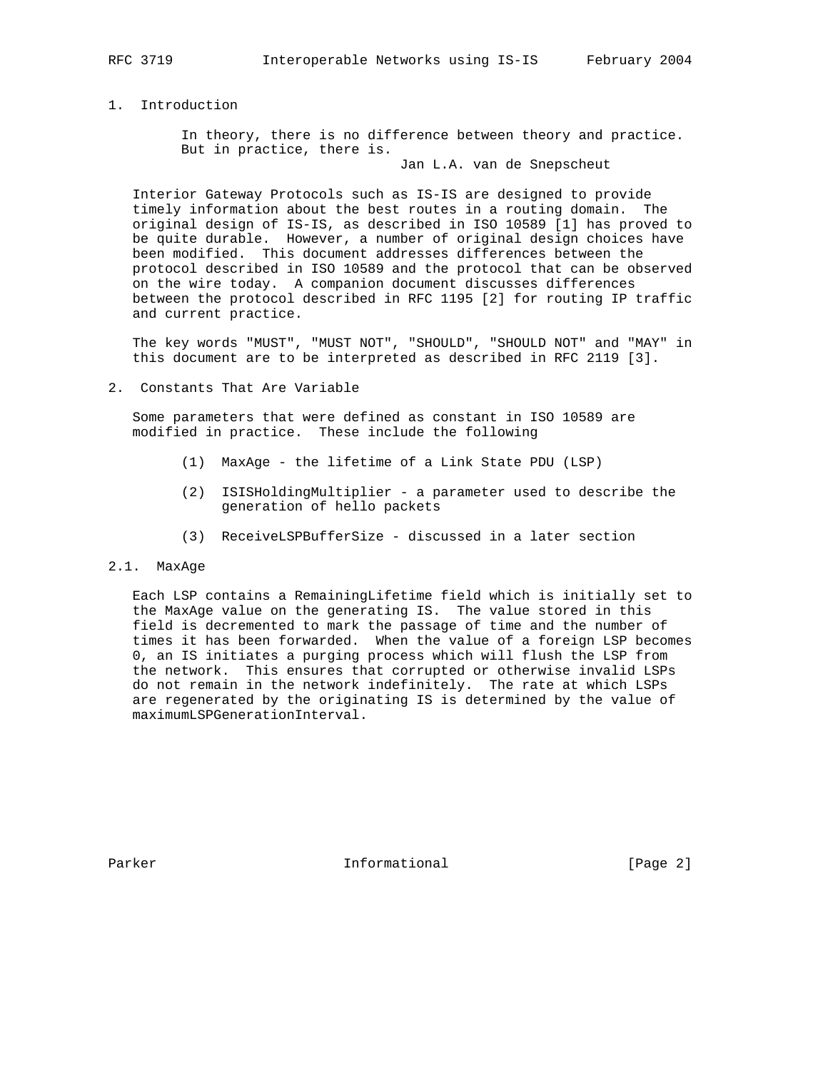1. Introduction

 In theory, there is no difference between theory and practice. But in practice, there is.

Jan L.A. van de Snepscheut

 Interior Gateway Protocols such as IS-IS are designed to provide timely information about the best routes in a routing domain. The original design of IS-IS, as described in ISO 10589 [1] has proved to be quite durable. However, a number of original design choices have been modified. This document addresses differences between the protocol described in ISO 10589 and the protocol that can be observed on the wire today. A companion document discusses differences between the protocol described in RFC 1195 [2] for routing IP traffic and current practice.

 The key words "MUST", "MUST NOT", "SHOULD", "SHOULD NOT" and "MAY" in this document are to be interpreted as described in RFC 2119 [3].

2. Constants That Are Variable

 Some parameters that were defined as constant in ISO 10589 are modified in practice. These include the following

- (1) MaxAge the lifetime of a Link State PDU (LSP)
- (2) ISISHoldingMultiplier a parameter used to describe the generation of hello packets
- (3) ReceiveLSPBufferSize discussed in a later section

#### 2.1. MaxAge

 Each LSP contains a RemainingLifetime field which is initially set to the MaxAge value on the generating IS. The value stored in this field is decremented to mark the passage of time and the number of times it has been forwarded. When the value of a foreign LSP becomes 0, an IS initiates a purging process which will flush the LSP from the network. This ensures that corrupted or otherwise invalid LSPs do not remain in the network indefinitely. The rate at which LSPs are regenerated by the originating IS is determined by the value of maximumLSPGenerationInterval.

Parker **Informational Informational** [Page 2]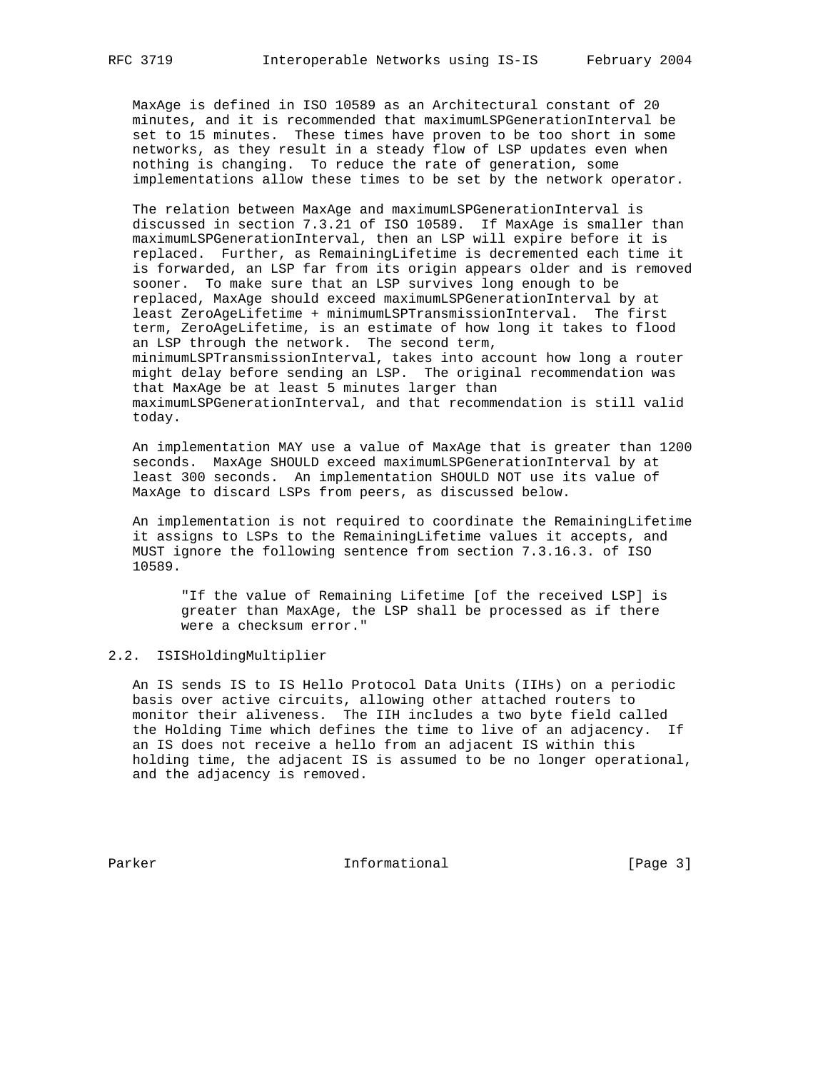MaxAge is defined in ISO 10589 as an Architectural constant of 20 minutes, and it is recommended that maximumLSPGenerationInterval be set to 15 minutes. These times have proven to be too short in some networks, as they result in a steady flow of LSP updates even when nothing is changing. To reduce the rate of generation, some implementations allow these times to be set by the network operator.

 The relation between MaxAge and maximumLSPGenerationInterval is discussed in section 7.3.21 of ISO 10589. If MaxAge is smaller than maximumLSPGenerationInterval, then an LSP will expire before it is replaced. Further, as RemainingLifetime is decremented each time it is forwarded, an LSP far from its origin appears older and is removed sooner. To make sure that an LSP survives long enough to be replaced, MaxAge should exceed maximumLSPGenerationInterval by at least ZeroAgeLifetime + minimumLSPTransmissionInterval. The first term, ZeroAgeLifetime, is an estimate of how long it takes to flood an LSP through the network. The second term, minimumLSPTransmissionInterval, takes into account how long a router might delay before sending an LSP. The original recommendation was that MaxAge be at least 5 minutes larger than maximumLSPGenerationInterval, and that recommendation is still valid today.

 An implementation MAY use a value of MaxAge that is greater than 1200 seconds. MaxAge SHOULD exceed maximumLSPGenerationInterval by at least 300 seconds. An implementation SHOULD NOT use its value of MaxAge to discard LSPs from peers, as discussed below.

 An implementation is not required to coordinate the RemainingLifetime it assigns to LSPs to the RemainingLifetime values it accepts, and MUST ignore the following sentence from section 7.3.16.3. of ISO 10589.

 "If the value of Remaining Lifetime [of the received LSP] is greater than MaxAge, the LSP shall be processed as if there were a checksum error."

## 2.2. ISISHoldingMultiplier

 An IS sends IS to IS Hello Protocol Data Units (IIHs) on a periodic basis over active circuits, allowing other attached routers to monitor their aliveness. The IIH includes a two byte field called the Holding Time which defines the time to live of an adjacency. If an IS does not receive a hello from an adjacent IS within this holding time, the adjacent IS is assumed to be no longer operational, and the adjacency is removed.

Parker **Informational Informational** [Page 3]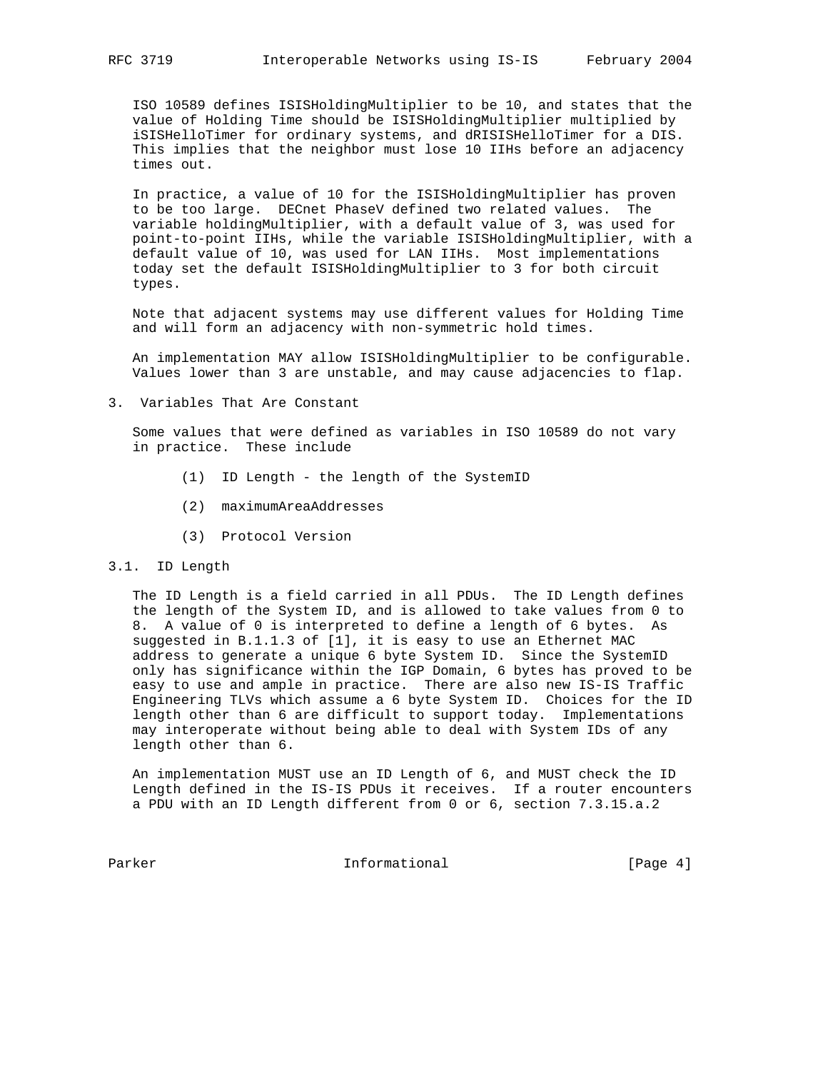ISO 10589 defines ISISHoldingMultiplier to be 10, and states that the value of Holding Time should be ISISHoldingMultiplier multiplied by iSISHelloTimer for ordinary systems, and dRISISHelloTimer for a DIS. This implies that the neighbor must lose 10 IIHs before an adjacency times out.

 In practice, a value of 10 for the ISISHoldingMultiplier has proven to be too large. DECnet PhaseV defined two related values. The variable holdingMultiplier, with a default value of 3, was used for point-to-point IIHs, while the variable ISISHoldingMultiplier, with a default value of 10, was used for LAN IIHs. Most implementations today set the default ISISHoldingMultiplier to 3 for both circuit types.

 Note that adjacent systems may use different values for Holding Time and will form an adjacency with non-symmetric hold times.

 An implementation MAY allow ISISHoldingMultiplier to be configurable. Values lower than 3 are unstable, and may cause adjacencies to flap.

3. Variables That Are Constant

 Some values that were defined as variables in ISO 10589 do not vary in practice. These include

- (1) ID Length the length of the SystemID
- (2) maximumAreaAddresses
- (3) Protocol Version
- 3.1. ID Length

 The ID Length is a field carried in all PDUs. The ID Length defines the length of the System ID, and is allowed to take values from 0 to 8. A value of 0 is interpreted to define a length of 6 bytes. As suggested in B.1.1.3 of [1], it is easy to use an Ethernet MAC address to generate a unique 6 byte System ID. Since the SystemID only has significance within the IGP Domain, 6 bytes has proved to be easy to use and ample in practice. There are also new IS-IS Traffic Engineering TLVs which assume a 6 byte System ID. Choices for the ID length other than 6 are difficult to support today. Implementations may interoperate without being able to deal with System IDs of any length other than 6.

 An implementation MUST use an ID Length of 6, and MUST check the ID Length defined in the IS-IS PDUs it receives. If a router encounters a PDU with an ID Length different from 0 or 6, section 7.3.15.a.2

Parker Informational [Page 4]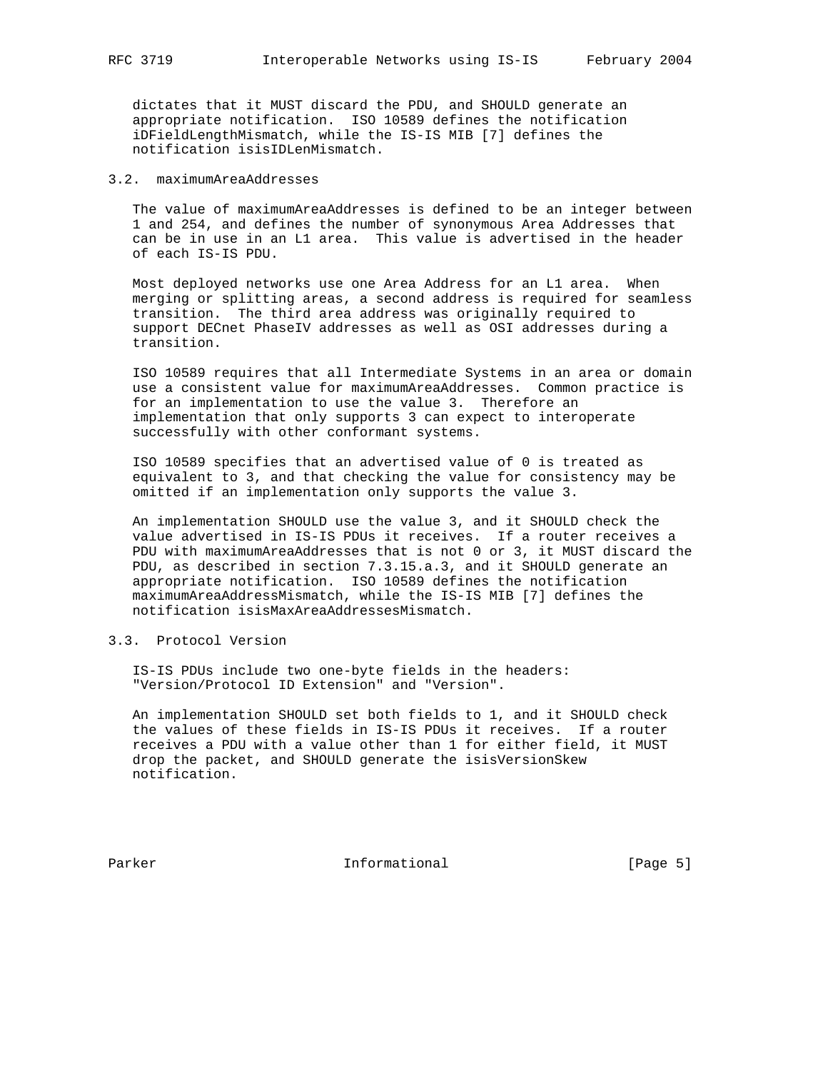dictates that it MUST discard the PDU, and SHOULD generate an appropriate notification. ISO 10589 defines the notification iDFieldLengthMismatch, while the IS-IS MIB [7] defines the notification isisIDLenMismatch.

## 3.2. maximumAreaAddresses

 The value of maximumAreaAddresses is defined to be an integer between 1 and 254, and defines the number of synonymous Area Addresses that can be in use in an L1 area. This value is advertised in the header of each IS-IS PDU.

 Most deployed networks use one Area Address for an L1 area. When merging or splitting areas, a second address is required for seamless transition. The third area address was originally required to support DECnet PhaseIV addresses as well as OSI addresses during a transition.

 ISO 10589 requires that all Intermediate Systems in an area or domain use a consistent value for maximumAreaAddresses. Common practice is for an implementation to use the value 3. Therefore an implementation that only supports 3 can expect to interoperate successfully with other conformant systems.

 ISO 10589 specifies that an advertised value of 0 is treated as equivalent to 3, and that checking the value for consistency may be omitted if an implementation only supports the value 3.

 An implementation SHOULD use the value 3, and it SHOULD check the value advertised in IS-IS PDUs it receives. If a router receives a PDU with maximumAreaAddresses that is not 0 or 3, it MUST discard the PDU, as described in section 7.3.15.a.3, and it SHOULD generate an appropriate notification. ISO 10589 defines the notification maximumAreaAddressMismatch, while the IS-IS MIB [7] defines the notification isisMaxAreaAddressesMismatch.

# 3.3. Protocol Version

 IS-IS PDUs include two one-byte fields in the headers: "Version/Protocol ID Extension" and "Version".

 An implementation SHOULD set both fields to 1, and it SHOULD check the values of these fields in IS-IS PDUs it receives. If a router receives a PDU with a value other than 1 for either field, it MUST drop the packet, and SHOULD generate the isisVersionSkew notification.

Parker **Informational Informational** [Page 5]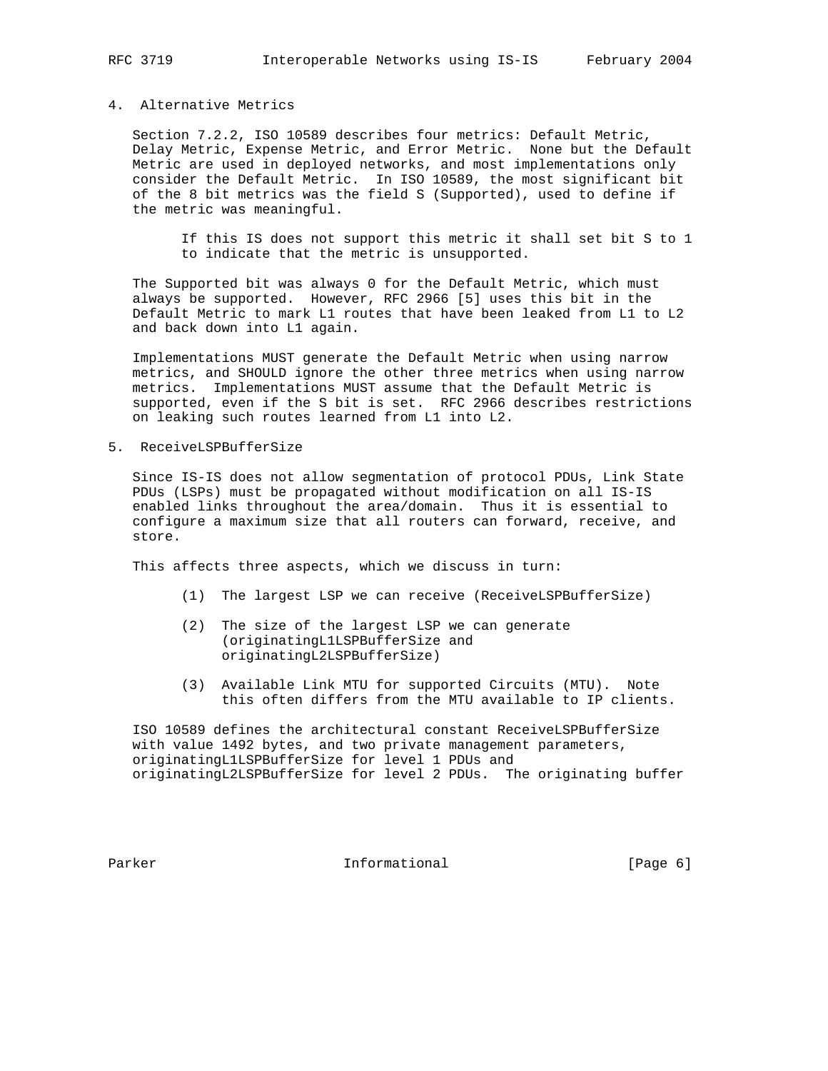## 4. Alternative Metrics

 Section 7.2.2, ISO 10589 describes four metrics: Default Metric, Delay Metric, Expense Metric, and Error Metric. None but the Default Metric are used in deployed networks, and most implementations only consider the Default Metric. In ISO 10589, the most significant bit of the 8 bit metrics was the field S (Supported), used to define if the metric was meaningful.

 If this IS does not support this metric it shall set bit S to 1 to indicate that the metric is unsupported.

 The Supported bit was always 0 for the Default Metric, which must always be supported. However, RFC 2966 [5] uses this bit in the Default Metric to mark L1 routes that have been leaked from L1 to L2 and back down into L1 again.

 Implementations MUST generate the Default Metric when using narrow metrics, and SHOULD ignore the other three metrics when using narrow metrics. Implementations MUST assume that the Default Metric is supported, even if the S bit is set. RFC 2966 describes restrictions on leaking such routes learned from L1 into L2.

5. ReceiveLSPBufferSize

 Since IS-IS does not allow segmentation of protocol PDUs, Link State PDUs (LSPs) must be propagated without modification on all IS-IS enabled links throughout the area/domain. Thus it is essential to configure a maximum size that all routers can forward, receive, and store.

This affects three aspects, which we discuss in turn:

- (1) The largest LSP we can receive (ReceiveLSPBufferSize)
- (2) The size of the largest LSP we can generate (originatingL1LSPBufferSize and originatingL2LSPBufferSize)
- (3) Available Link MTU for supported Circuits (MTU). Note this often differs from the MTU available to IP clients.

 ISO 10589 defines the architectural constant ReceiveLSPBufferSize with value 1492 bytes, and two private management parameters, originatingL1LSPBufferSize for level 1 PDUs and originatingL2LSPBufferSize for level 2 PDUs. The originating buffer

Parker **Informational Informational** [Page 6]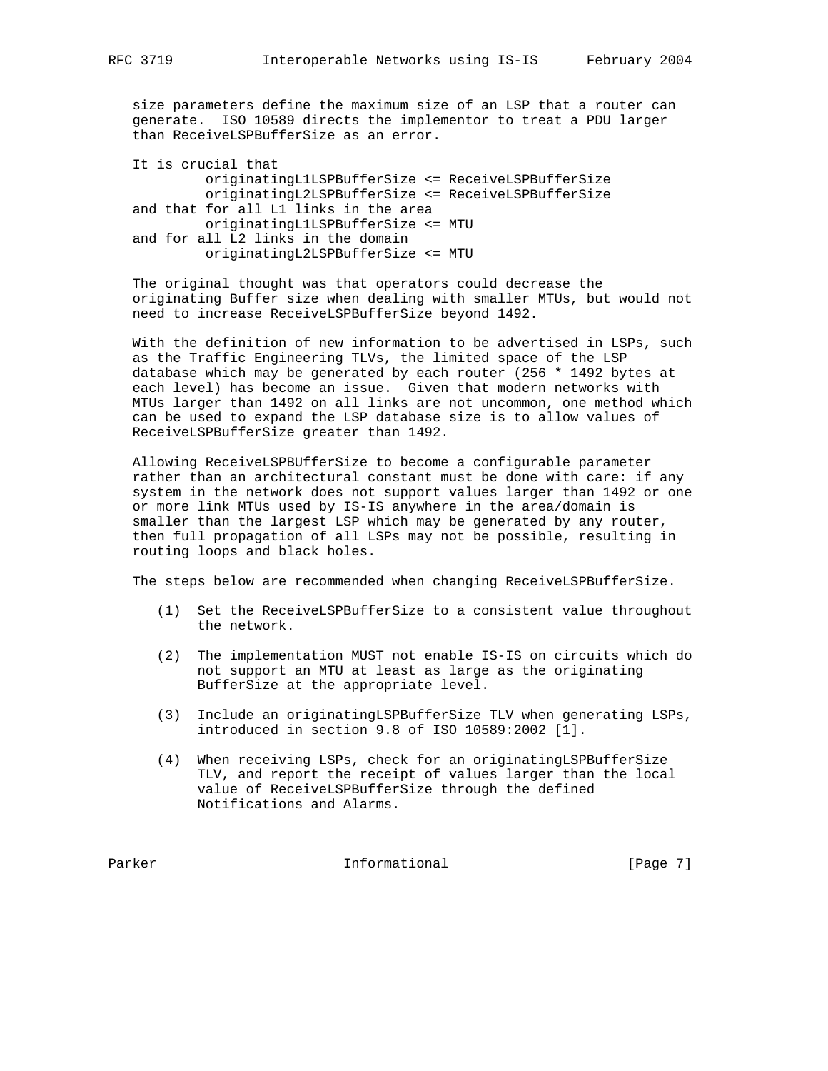size parameters define the maximum size of an LSP that a router can generate. ISO 10589 directs the implementor to treat a PDU larger than ReceiveLSPBufferSize as an error.

 It is crucial that originatingL1LSPBufferSize <= ReceiveLSPBufferSize originatingL2LSPBufferSize <= ReceiveLSPBufferSize and that for all L1 links in the area originatingL1LSPBufferSize <= MTU and for all L2 links in the domain originatingL2LSPBufferSize <= MTU

 The original thought was that operators could decrease the originating Buffer size when dealing with smaller MTUs, but would not need to increase ReceiveLSPBufferSize beyond 1492.

 With the definition of new information to be advertised in LSPs, such as the Traffic Engineering TLVs, the limited space of the LSP database which may be generated by each router (256 \* 1492 bytes at each level) has become an issue. Given that modern networks with MTUs larger than 1492 on all links are not uncommon, one method which can be used to expand the LSP database size is to allow values of ReceiveLSPBufferSize greater than 1492.

 Allowing ReceiveLSPBUfferSize to become a configurable parameter rather than an architectural constant must be done with care: if any system in the network does not support values larger than 1492 or one or more link MTUs used by IS-IS anywhere in the area/domain is smaller than the largest LSP which may be generated by any router, then full propagation of all LSPs may not be possible, resulting in routing loops and black holes.

The steps below are recommended when changing ReceiveLSPBufferSize.

- (1) Set the ReceiveLSPBufferSize to a consistent value throughout the network.
- (2) The implementation MUST not enable IS-IS on circuits which do not support an MTU at least as large as the originating BufferSize at the appropriate level.
- (3) Include an originatingLSPBufferSize TLV when generating LSPs, introduced in section 9.8 of ISO 10589:2002 [1].
- (4) When receiving LSPs, check for an originatingLSPBufferSize TLV, and report the receipt of values larger than the local value of ReceiveLSPBufferSize through the defined Notifications and Alarms.

Parker **Informational Informational** [Page 7]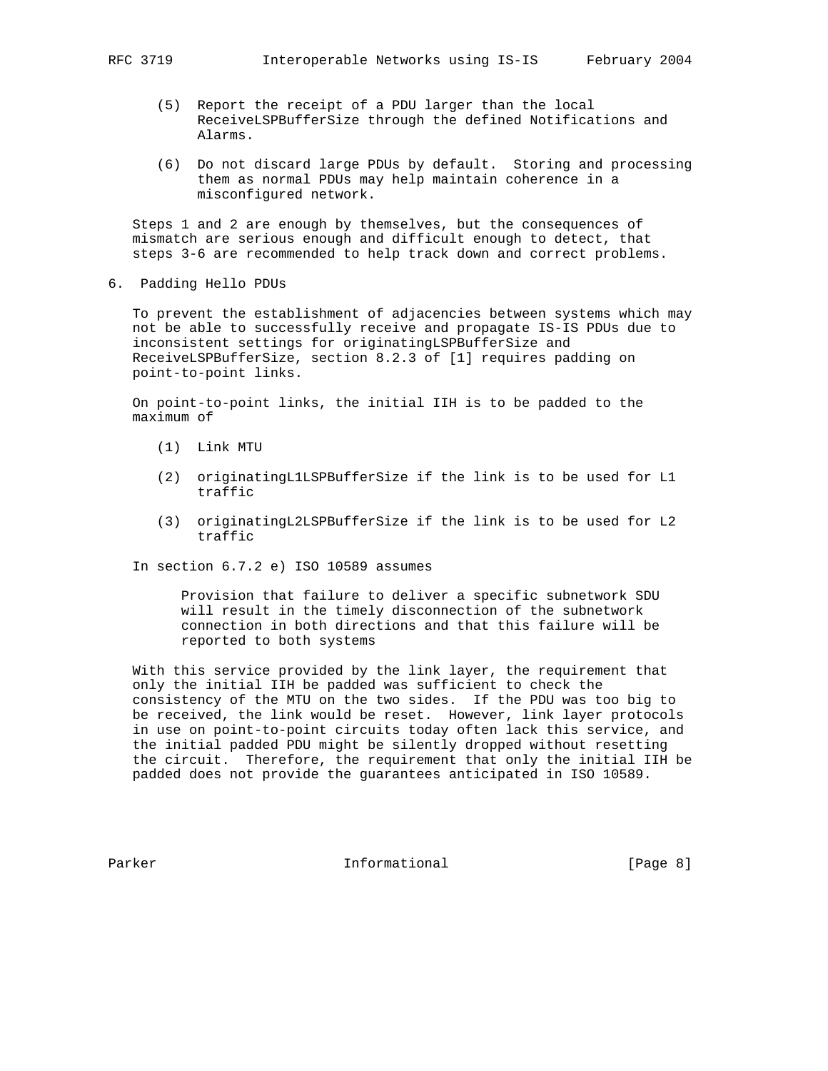- - (5) Report the receipt of a PDU larger than the local ReceiveLSPBufferSize through the defined Notifications and Alarms.
	- (6) Do not discard large PDUs by default. Storing and processing them as normal PDUs may help maintain coherence in a misconfigured network.

 Steps 1 and 2 are enough by themselves, but the consequences of mismatch are serious enough and difficult enough to detect, that steps 3-6 are recommended to help track down and correct problems.

6. Padding Hello PDUs

 To prevent the establishment of adjacencies between systems which may not be able to successfully receive and propagate IS-IS PDUs due to inconsistent settings for originatingLSPBufferSize and ReceiveLSPBufferSize, section 8.2.3 of [1] requires padding on point-to-point links.

 On point-to-point links, the initial IIH is to be padded to the maximum of

- (1) Link MTU
- (2) originatingL1LSPBufferSize if the link is to be used for L1 traffic
- (3) originatingL2LSPBufferSize if the link is to be used for L2 traffic

In section 6.7.2 e) ISO 10589 assumes

 Provision that failure to deliver a specific subnetwork SDU will result in the timely disconnection of the subnetwork connection in both directions and that this failure will be reported to both systems

 With this service provided by the link layer, the requirement that only the initial IIH be padded was sufficient to check the consistency of the MTU on the two sides. If the PDU was too big to be received, the link would be reset. However, link layer protocols in use on point-to-point circuits today often lack this service, and the initial padded PDU might be silently dropped without resetting the circuit. Therefore, the requirement that only the initial IIH be padded does not provide the guarantees anticipated in ISO 10589.

Parker **Informational Informational** [Page 8]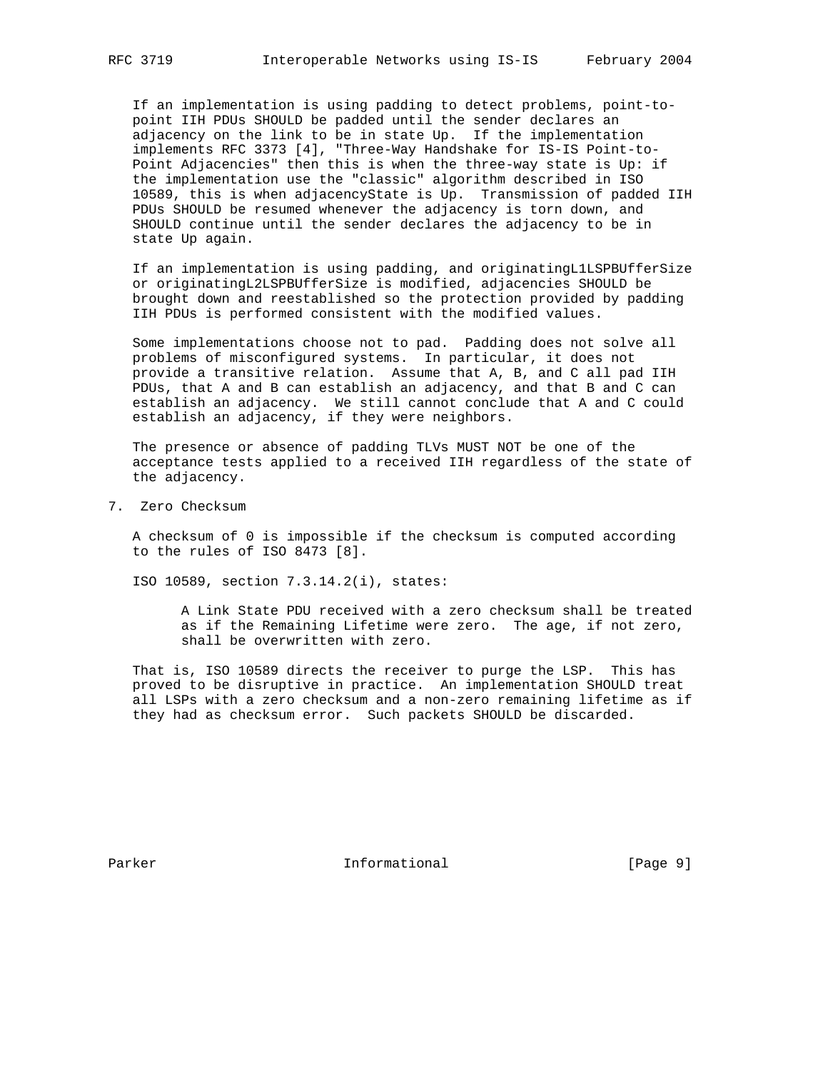If an implementation is using padding to detect problems, point-to point IIH PDUs SHOULD be padded until the sender declares an adjacency on the link to be in state Up. If the implementation implements RFC 3373 [4], "Three-Way Handshake for IS-IS Point-to- Point Adjacencies" then this is when the three-way state is Up: if the implementation use the "classic" algorithm described in ISO 10589, this is when adjacencyState is Up. Transmission of padded IIH PDUs SHOULD be resumed whenever the adjacency is torn down, and SHOULD continue until the sender declares the adjacency to be in state Up again.

 If an implementation is using padding, and originatingL1LSPBUfferSize or originatingL2LSPBUfferSize is modified, adjacencies SHOULD be brought down and reestablished so the protection provided by padding IIH PDUs is performed consistent with the modified values.

 Some implementations choose not to pad. Padding does not solve all problems of misconfigured systems. In particular, it does not provide a transitive relation. Assume that A, B, and C all pad IIH PDUs, that A and B can establish an adjacency, and that B and C can establish an adjacency. We still cannot conclude that A and C could establish an adjacency, if they were neighbors.

 The presence or absence of padding TLVs MUST NOT be one of the acceptance tests applied to a received IIH regardless of the state of the adjacency.

7. Zero Checksum

 A checksum of 0 is impossible if the checksum is computed according to the rules of ISO 8473 [8].

ISO 10589, section 7.3.14.2(i), states:

 A Link State PDU received with a zero checksum shall be treated as if the Remaining Lifetime were zero. The age, if not zero, shall be overwritten with zero.

 That is, ISO 10589 directs the receiver to purge the LSP. This has proved to be disruptive in practice. An implementation SHOULD treat all LSPs with a zero checksum and a non-zero remaining lifetime as if they had as checksum error. Such packets SHOULD be discarded.

Parker **Informational Informational** [Page 9]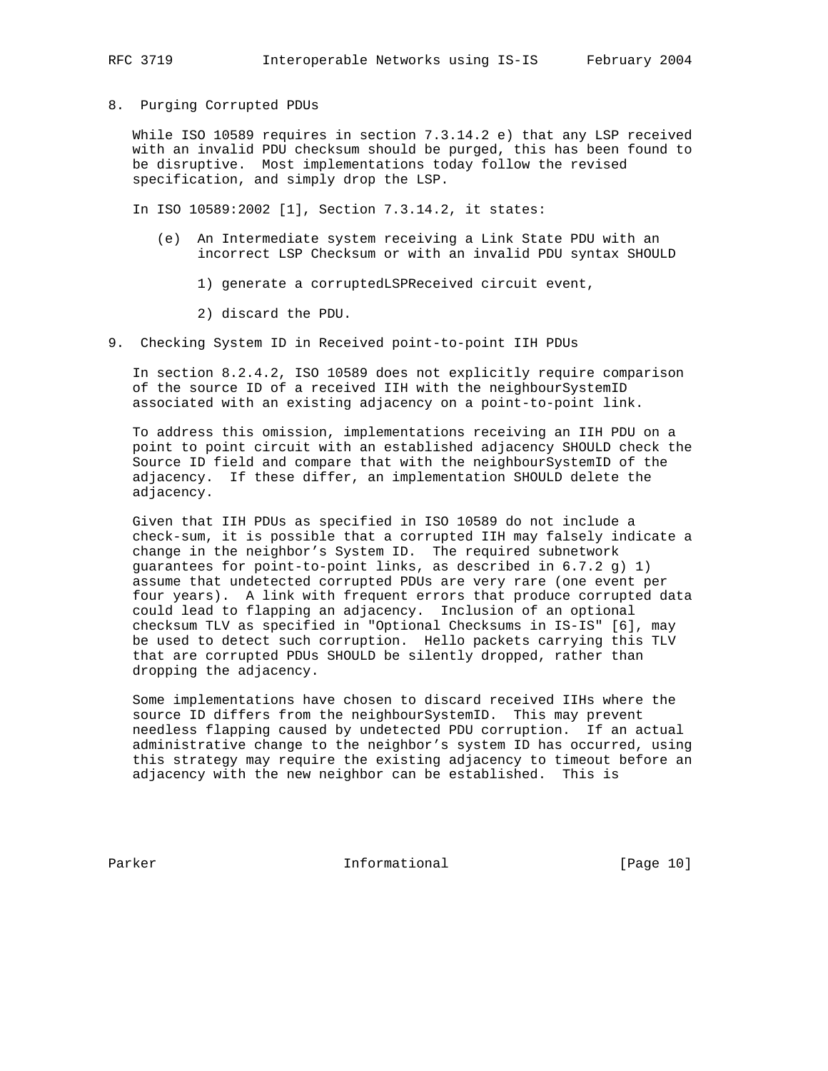## 8. Purging Corrupted PDUs

 While ISO 10589 requires in section 7.3.14.2 e) that any LSP received with an invalid PDU checksum should be purged, this has been found to be disruptive. Most implementations today follow the revised specification, and simply drop the LSP.

In ISO 10589:2002 [1], Section 7.3.14.2, it states:

- (e) An Intermediate system receiving a Link State PDU with an incorrect LSP Checksum or with an invalid PDU syntax SHOULD
	- 1) generate a corruptedLSPReceived circuit event,
	- 2) discard the PDU.
- 9. Checking System ID in Received point-to-point IIH PDUs

 In section 8.2.4.2, ISO 10589 does not explicitly require comparison of the source ID of a received IIH with the neighbourSystemID associated with an existing adjacency on a point-to-point link.

 To address this omission, implementations receiving an IIH PDU on a point to point circuit with an established adjacency SHOULD check the Source ID field and compare that with the neighbourSystemID of the adjacency. If these differ, an implementation SHOULD delete the adjacency.

 Given that IIH PDUs as specified in ISO 10589 do not include a check-sum, it is possible that a corrupted IIH may falsely indicate a change in the neighbor's System ID. The required subnetwork guarantees for point-to-point links, as described in 6.7.2 g) 1) assume that undetected corrupted PDUs are very rare (one event per four years). A link with frequent errors that produce corrupted data could lead to flapping an adjacency. Inclusion of an optional checksum TLV as specified in "Optional Checksums in IS-IS" [6], may be used to detect such corruption. Hello packets carrying this TLV that are corrupted PDUs SHOULD be silently dropped, rather than dropping the adjacency.

 Some implementations have chosen to discard received IIHs where the source ID differs from the neighbourSystemID. This may prevent needless flapping caused by undetected PDU corruption. If an actual administrative change to the neighbor's system ID has occurred, using this strategy may require the existing adjacency to timeout before an adjacency with the new neighbor can be established. This is

Parker **Informational** [Page 10]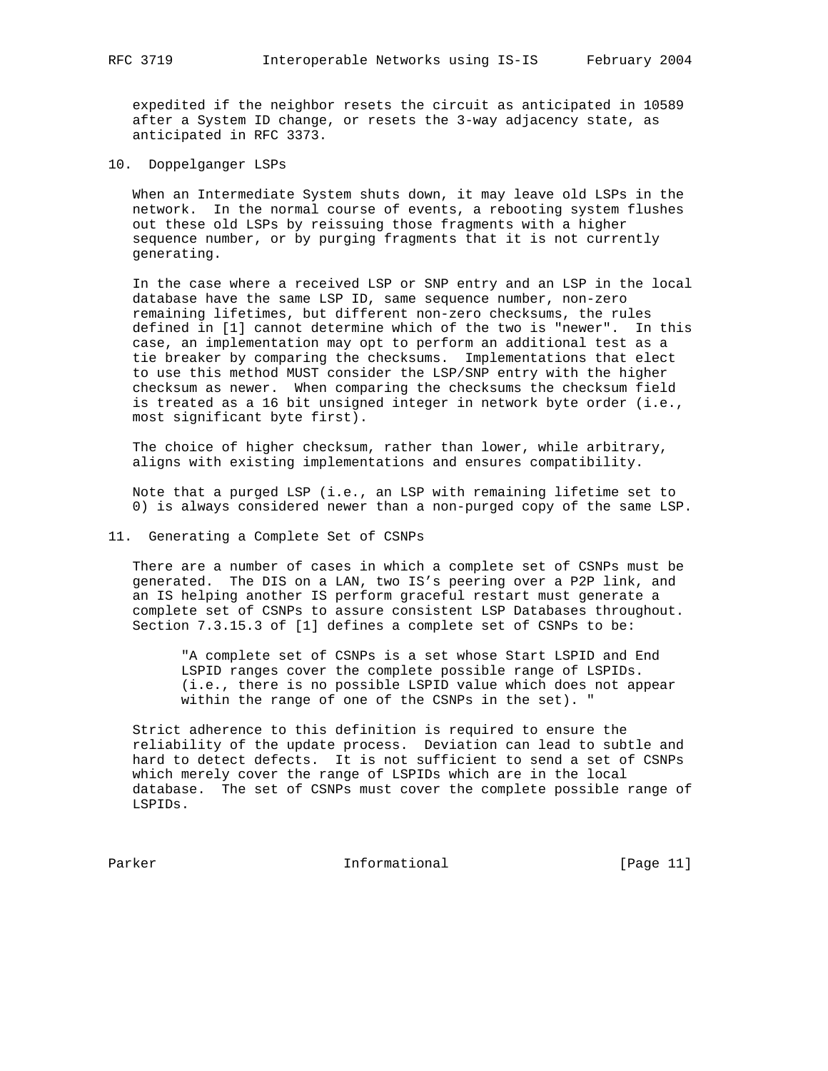expedited if the neighbor resets the circuit as anticipated in 10589 after a System ID change, or resets the 3-way adjacency state, as anticipated in RFC 3373.

10. Doppelganger LSPs

 When an Intermediate System shuts down, it may leave old LSPs in the network. In the normal course of events, a rebooting system flushes out these old LSPs by reissuing those fragments with a higher sequence number, or by purging fragments that it is not currently generating.

 In the case where a received LSP or SNP entry and an LSP in the local database have the same LSP ID, same sequence number, non-zero remaining lifetimes, but different non-zero checksums, the rules defined in [1] cannot determine which of the two is "newer". In this case, an implementation may opt to perform an additional test as a tie breaker by comparing the checksums. Implementations that elect to use this method MUST consider the LSP/SNP entry with the higher checksum as newer. When comparing the checksums the checksum field is treated as a 16 bit unsigned integer in network byte order (i.e., most significant byte first).

 The choice of higher checksum, rather than lower, while arbitrary, aligns with existing implementations and ensures compatibility.

 Note that a purged LSP (i.e., an LSP with remaining lifetime set to 0) is always considered newer than a non-purged copy of the same LSP.

### 11. Generating a Complete Set of CSNPs

 There are a number of cases in which a complete set of CSNPs must be generated. The DIS on a LAN, two IS's peering over a P2P link, and an IS helping another IS perform graceful restart must generate a complete set of CSNPs to assure consistent LSP Databases throughout. Section 7.3.15.3 of [1] defines a complete set of CSNPs to be:

 "A complete set of CSNPs is a set whose Start LSPID and End LSPID ranges cover the complete possible range of LSPIDs. (i.e., there is no possible LSPID value which does not appear within the range of one of the CSNPs in the set). "

 Strict adherence to this definition is required to ensure the reliability of the update process. Deviation can lead to subtle and hard to detect defects. It is not sufficient to send a set of CSNPs which merely cover the range of LSPIDs which are in the local database. The set of CSNPs must cover the complete possible range of LSPIDs.

Parker **Informational** [Page 11]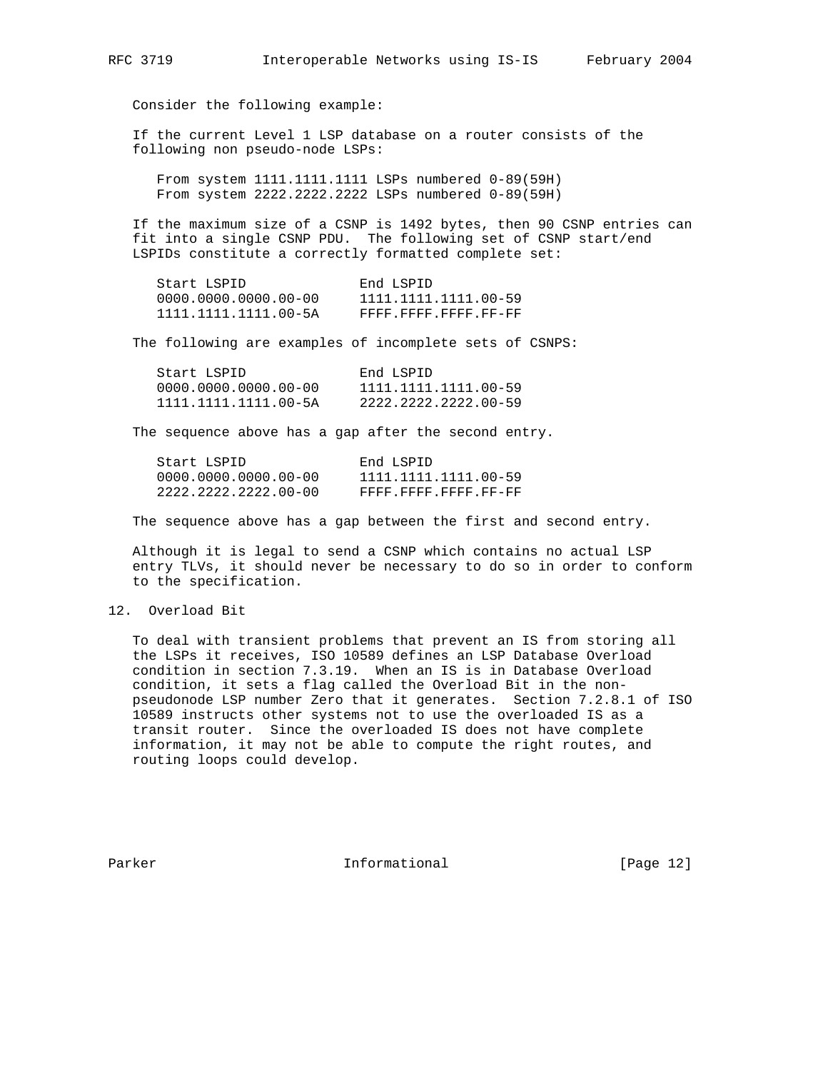Consider the following example:

 If the current Level 1 LSP database on a router consists of the following non pseudo-node LSPs:

 From system 1111.1111.1111 LSPs numbered 0-89(59H) From system 2222.2222.2222 LSPs numbered 0-89(59H)

 If the maximum size of a CSNP is 1492 bytes, then 90 CSNP entries can fit into a single CSNP PDU. The following set of CSNP start/end LSPIDs constitute a correctly formatted complete set:

| Start LSPID            | End LSPID            |
|------------------------|----------------------|
| $0000.0000.0000.00-00$ | 1111.1111.1111.00-59 |
| 1111.1111.1111.00-5A   | FFFF FFFF FFFF FF-FF |

The following are examples of incomplete sets of CSNPS:

| Start LSPID            | End LSPID            |
|------------------------|----------------------|
| $0000.0000.0000.00-00$ | 1111.1111.1111.00-59 |
| 1111.1111.1111.00-5A   | 2222.2222.2222.00-59 |

The sequence above has a gap after the second entry.

| Start LSPID            | End LSPID            |
|------------------------|----------------------|
| $0000.0000.0000.00-00$ | 1111.1111.1111.00-59 |
| 2222.2222.2222.00-00   | FFFF.FFFF.FFFF.FF-FF |

The sequence above has a gap between the first and second entry.

 Although it is legal to send a CSNP which contains no actual LSP entry TLVs, it should never be necessary to do so in order to conform to the specification.

#### 12. Overload Bit

 To deal with transient problems that prevent an IS from storing all the LSPs it receives, ISO 10589 defines an LSP Database Overload condition in section 7.3.19. When an IS is in Database Overload condition, it sets a flag called the Overload Bit in the non pseudonode LSP number Zero that it generates. Section 7.2.8.1 of ISO 10589 instructs other systems not to use the overloaded IS as a transit router. Since the overloaded IS does not have complete information, it may not be able to compute the right routes, and routing loops could develop.

Parker **Informational** [Page 12]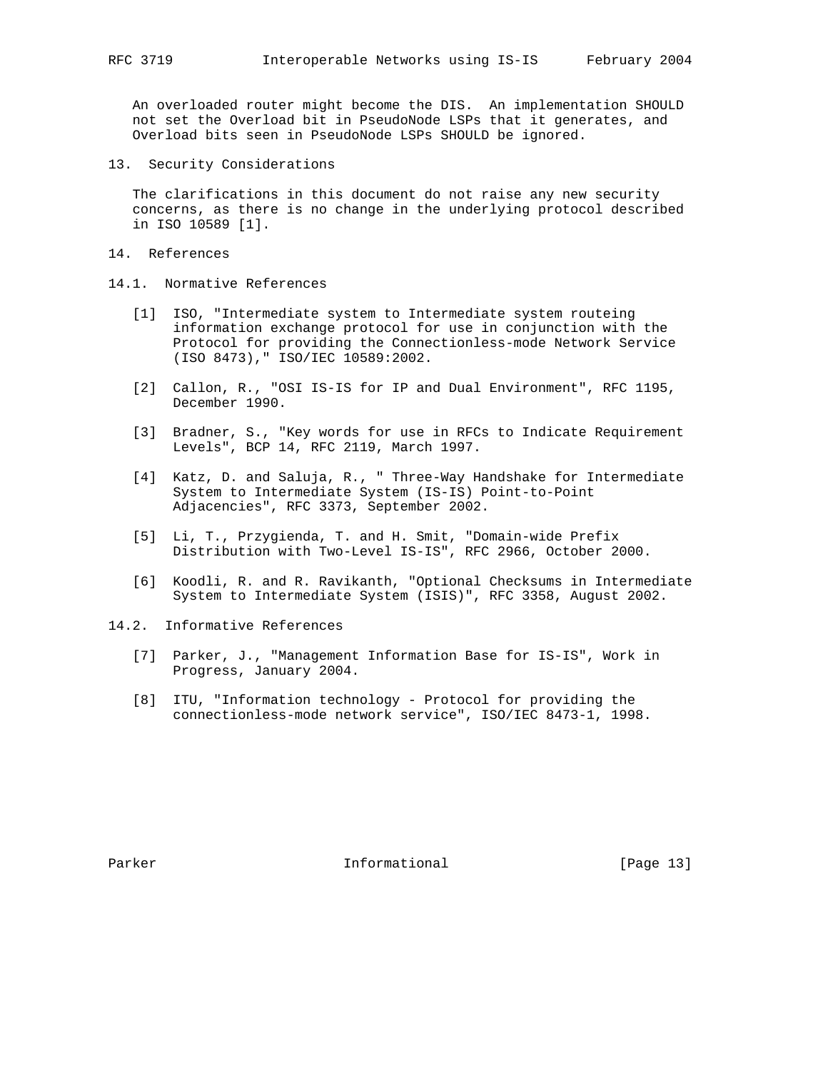An overloaded router might become the DIS. An implementation SHOULD not set the Overload bit in PseudoNode LSPs that it generates, and Overload bits seen in PseudoNode LSPs SHOULD be ignored.

13. Security Considerations

 The clarifications in this document do not raise any new security concerns, as there is no change in the underlying protocol described in ISO 10589 [1].

- 14. References
- 14.1. Normative References
	- [1] ISO, "Intermediate system to Intermediate system routeing information exchange protocol for use in conjunction with the Protocol for providing the Connectionless-mode Network Service (ISO 8473)," ISO/IEC 10589:2002.
	- [2] Callon, R., "OSI IS-IS for IP and Dual Environment", RFC 1195, December 1990.
	- [3] Bradner, S., "Key words for use in RFCs to Indicate Requirement Levels", BCP 14, RFC 2119, March 1997.
	- [4] Katz, D. and Saluja, R., " Three-Way Handshake for Intermediate System to Intermediate System (IS-IS) Point-to-Point Adjacencies", RFC 3373, September 2002.
	- [5] Li, T., Przygienda, T. and H. Smit, "Domain-wide Prefix Distribution with Two-Level IS-IS", RFC 2966, October 2000.
	- [6] Koodli, R. and R. Ravikanth, "Optional Checksums in Intermediate System to Intermediate System (ISIS)", RFC 3358, August 2002.
- 14.2. Informative References
	- [7] Parker, J., "Management Information Base for IS-IS", Work in Progress, January 2004.
	- [8] ITU, "Information technology Protocol for providing the connectionless-mode network service", ISO/IEC 8473-1, 1998.

Parker **Informational** [Page 13]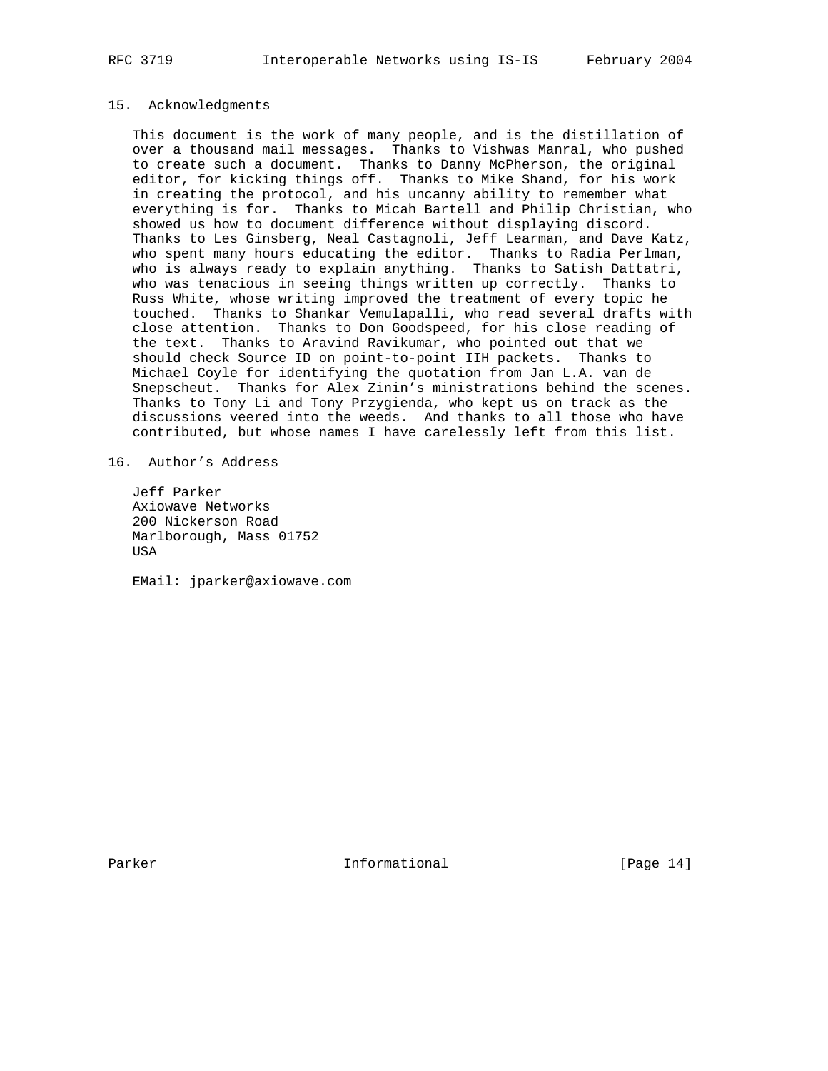### 15. Acknowledgments

 This document is the work of many people, and is the distillation of over a thousand mail messages. Thanks to Vishwas Manral, who pushed to create such a document. Thanks to Danny McPherson, the original editor, for kicking things off. Thanks to Mike Shand, for his work in creating the protocol, and his uncanny ability to remember what everything is for. Thanks to Micah Bartell and Philip Christian, who showed us how to document difference without displaying discord. Thanks to Les Ginsberg, Neal Castagnoli, Jeff Learman, and Dave Katz, who spent many hours educating the editor. Thanks to Radia Perlman, who is always ready to explain anything. Thanks to Satish Dattatri, who was tenacious in seeing things written up correctly. Thanks to Russ White, whose writing improved the treatment of every topic he touched. Thanks to Shankar Vemulapalli, who read several drafts with close attention. Thanks to Don Goodspeed, for his close reading of the text. Thanks to Aravind Ravikumar, who pointed out that we should check Source ID on point-to-point IIH packets. Thanks to Michael Coyle for identifying the quotation from Jan L.A. van de Snepscheut. Thanks for Alex Zinin's ministrations behind the scenes. Thanks to Tony Li and Tony Przygienda, who kept us on track as the discussions veered into the weeds. And thanks to all those who have contributed, but whose names I have carelessly left from this list.

16. Author's Address

 Jeff Parker Axiowave Networks 200 Nickerson Road Marlborough, Mass 01752 USA

EMail: jparker@axiowave.com

Parker **Informational** [Page 14]